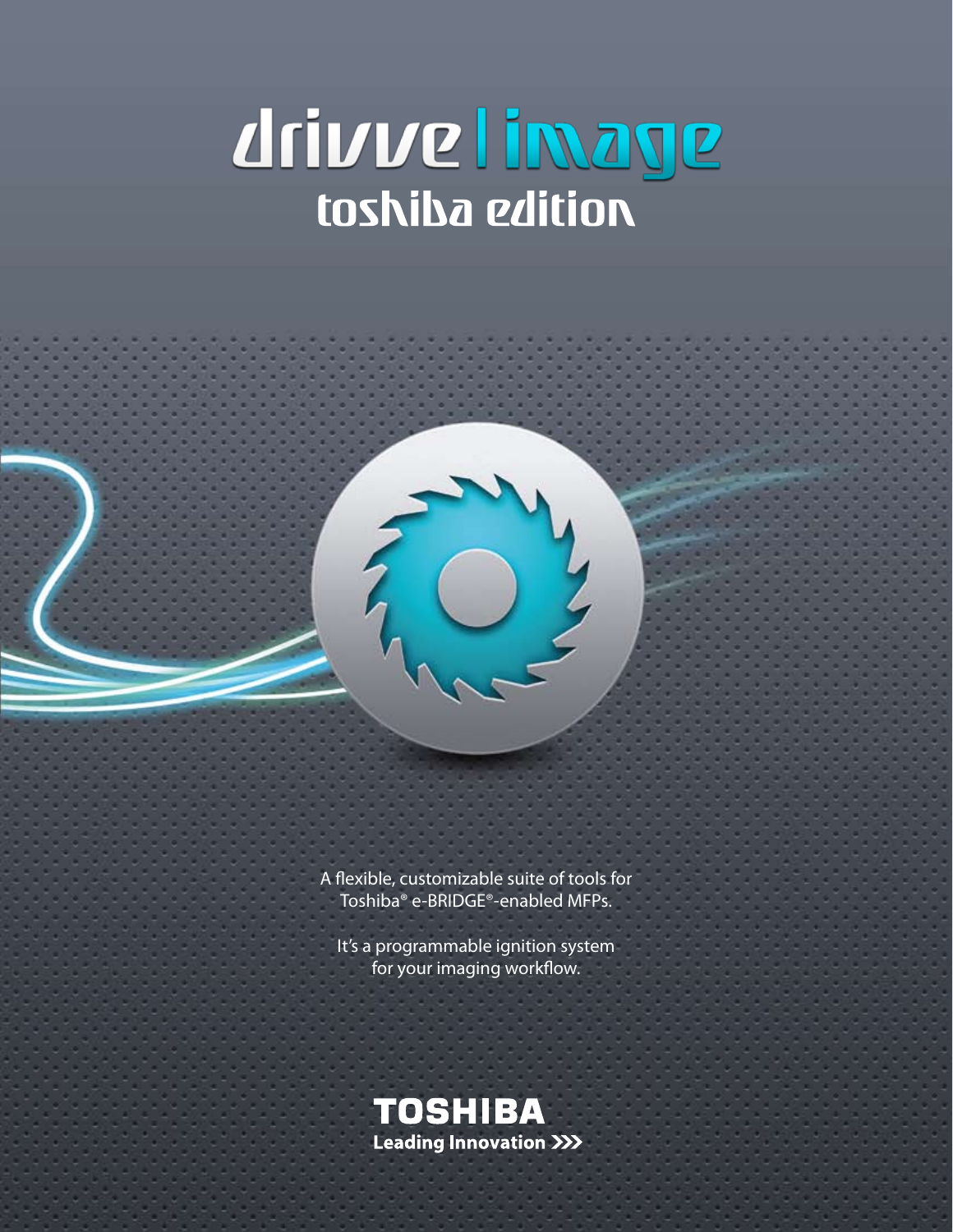# drivve limage



A flexible, customizable suite of tools for Toshiba® e-BRIDGE®-enabled MFPs.

It's a programmable ignition system for your imaging workflow.

**TOSHIBA Leading Innovation >>>**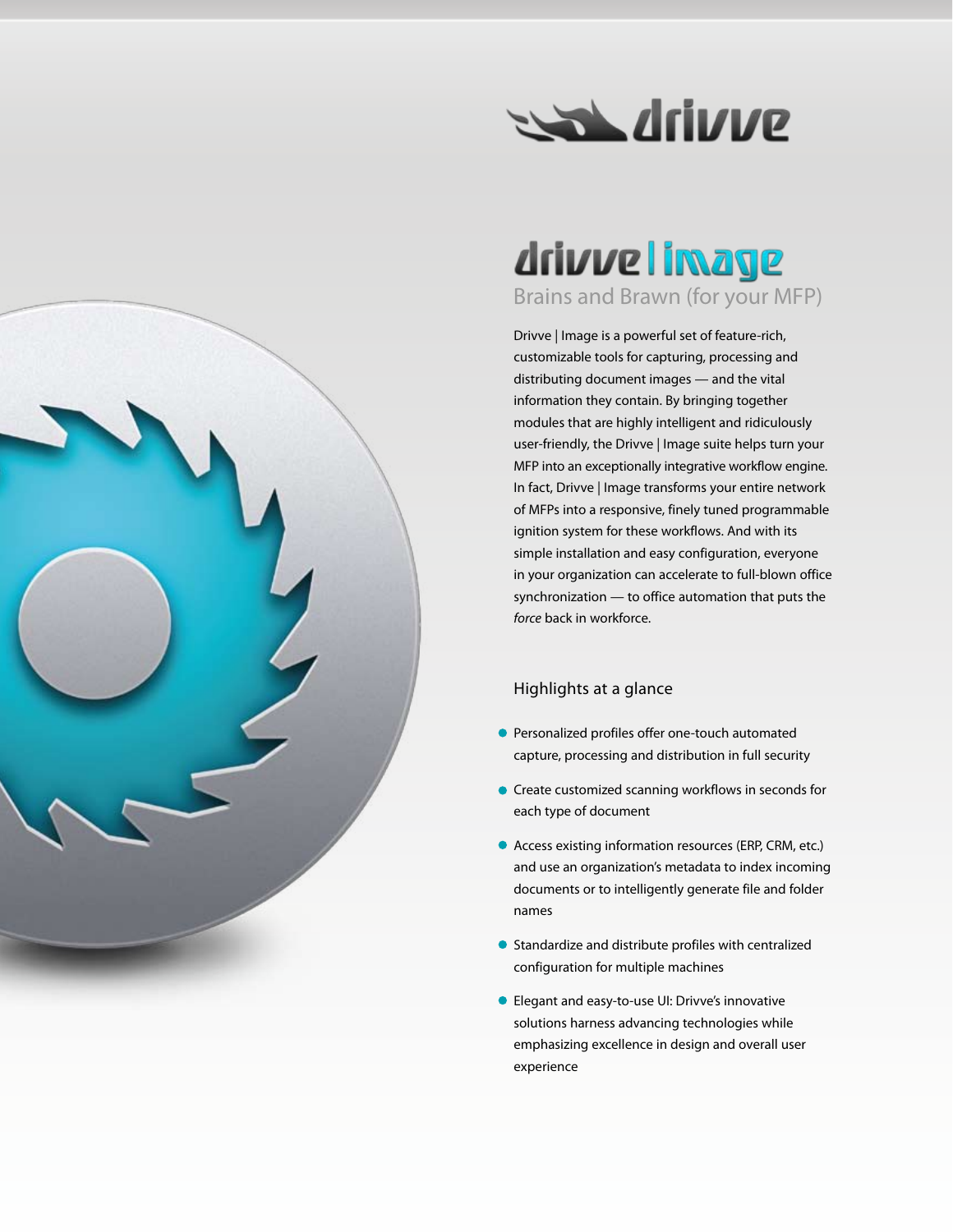

## drivve limage Brains and Brawn (for your MFP)

Drivve | Image is a powerful set of feature-rich, customizable tools for capturing, processing and distributing document images — and the vital information they contain. By bringing together modules that are highly intelligent and ridiculously user-friendly, the Drivve | Image suite helps turn your MFP into an exceptionally integrative workflow engine. In fact, Drivve | Image transforms your entire network of MFPs into a responsive, finely tuned programmable ignition system for these workflows. And with its simple installation and easy configuration, everyone in your organization can accelerate to full-blown office synchronization — to office automation that puts the *force* back in workforce.

#### Highlights at a glance

- **Personalized profiles offer one-touch automated** capture, processing and distribution in full security
- **•** Create customized scanning workflows in seconds for each type of document
- Access existing information resources (ERP, CRM, etc.) and use an organization's metadata to index incoming documents or to intelligently generate file and folder names
- **•** Standardize and distribute profiles with centralized configuration for multiple machines
- Elegant and easy-to-use UI: Drivve's innovative solutions harness advancing technologies while emphasizing excellence in design and overall user experience

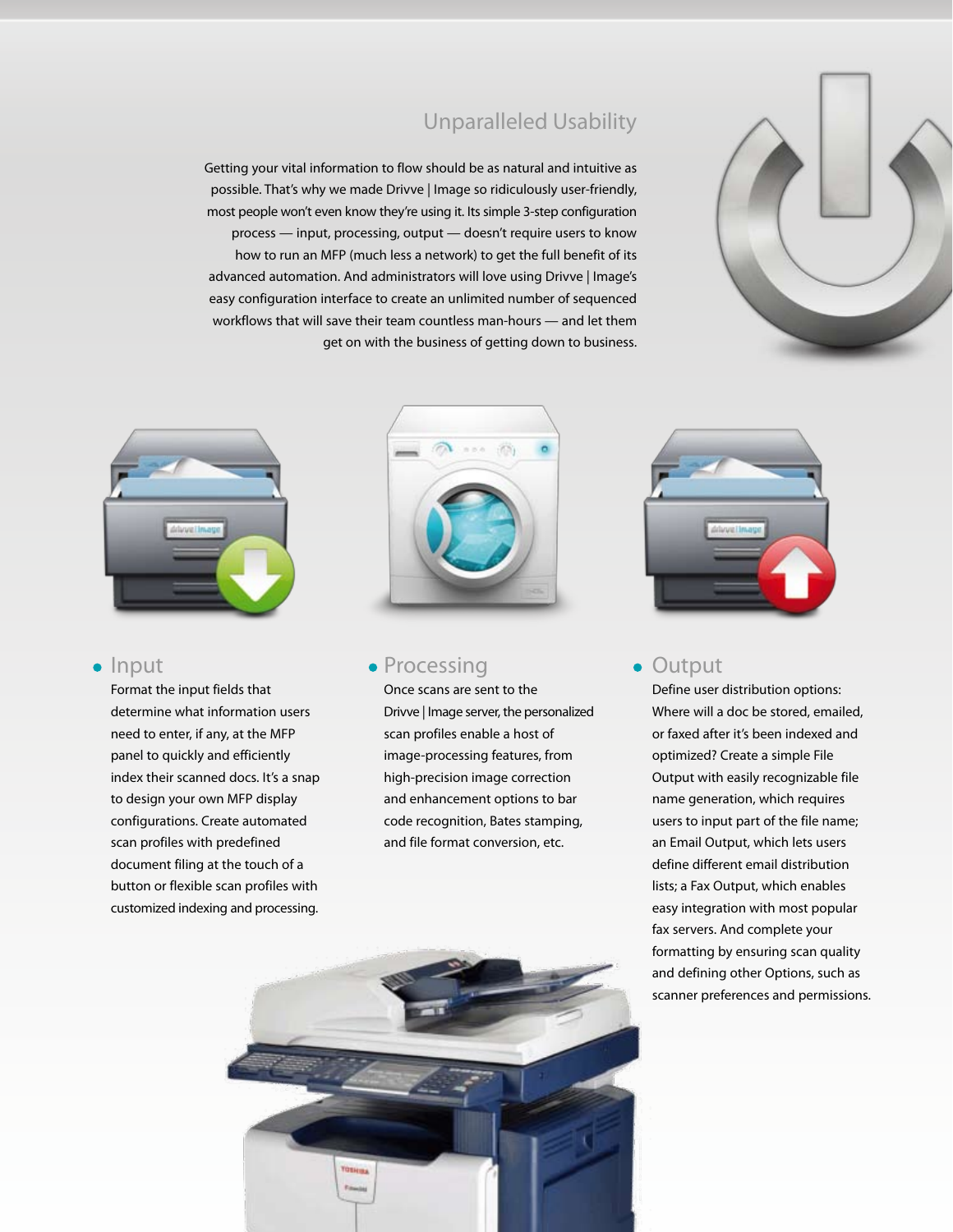

#### Unparalleled Usability

Getting your vital information to flow should be as natural and intuitive as possible. That's why we made Drivve | Image so ridiculously user-friendly, most people won't even know they're using it. Its simple 3-step configuration process — input, processing, output — doesn't require users to know how to run an MFP (much less a network) to get the full benefit of its advanced automation. And administrators will love using Drivve | Image's easy configuration interface to create an unlimited number of sequenced workflows that will save their team countless man-hours — and let them get on with the business of getting down to business.



#### $\bullet$  Input

Format the input fields that determine what information users need to enter, if any, at the MFP panel to quickly and efficiently index their scanned docs. It's a snap to design your own MFP display configurations. Create automated scan profiles with predefined document filing at the touch of a button or flexible scan profiles with customized indexing and processing.



#### • Processing

Once scans are sent to the Drivve | Image server, the personalized scan profiles enable a host of image-processing features, from high-precision image correction and enhancement options to bar code recognition, Bates stamping, and file format conversion, etc.



#### **• Output**

Define user distribution options: Where will a doc be stored, emailed, or faxed after it's been indexed and optimized? Create a simple File Output with easily recognizable file name generation, which requires users to input part of the file name; an Email Output, which lets users define different email distribution lists; a Fax Output, which enables easy integration with most popular fax servers. And complete your formatting by ensuring scan quality and defining other Options, such as scanner preferences and permissions.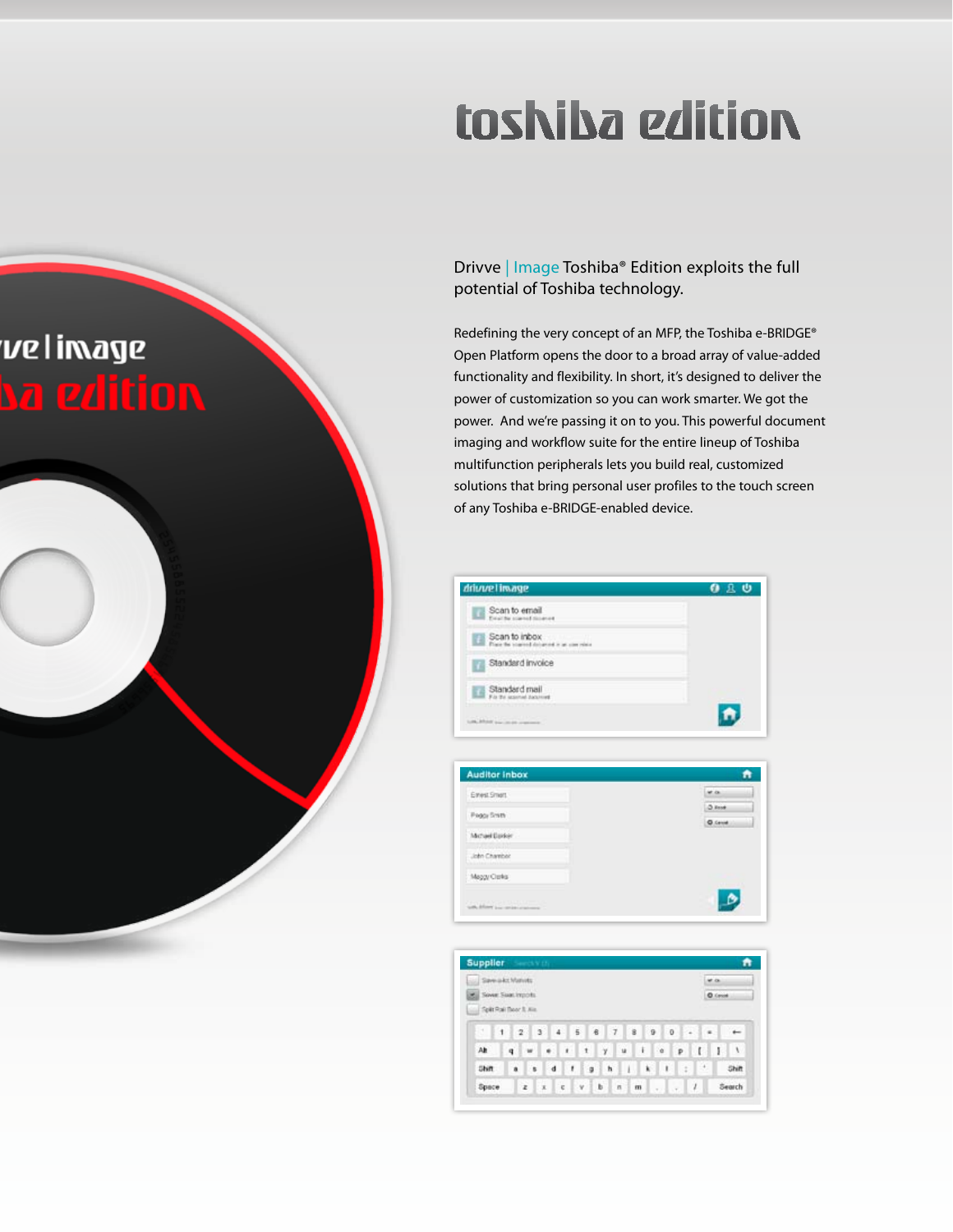# toshiba edition



Drivve | Image Toshiba® Edition exploits the full potential of Toshiba technology.

Redefining the very concept of an MFP, the Toshiba e-BRIDGE® Open Platform opens the door to a broad array of value-added functionality and flexibility. In short, it's designed to deliver the power of customization so you can work smarter. We got the power. And we're passing it on to you. This powerful document imaging and workflow suite for the entire lineup of Toshiba multifunction peripherals lets you build real, customized solutions that bring personal user profiles to the touch screen of any Toshiba e-BRIDGE-enabled device.

| drivure Limage                                                   | 且心<br>۰          |
|------------------------------------------------------------------|------------------|
| Scan to email<br>Exceller started distance                       |                  |
| Scan to inbox<br>E<br>Place the started deturned is an operator. |                  |
| Standard invoice<br>п                                            |                  |
| Standard mail<br>Fix the seasonal dacument                       |                  |
| LACIMITY CONTINUES                                               |                  |
| <b>Auditor Inbox</b>                                             | A                |
| Envest Smart                                                     | Mr. day          |
| Poggy Smith                                                      | O. Front         |
| Michael Davier                                                   | <b>Q.</b> Censel |
|                                                                  |                  |

**Supplier** Sawakt Matuts wa ... Sover Suat Imports **O** Crook Split Rail Boord, Ale  $1.2.3.4.5.8.7.8.9.0.7.4.1$  $\mathfrak{g}^{\ast} \left[ \mathfrak{u}^{\ast} \mid \mathfrak{u}^{\ast} \mid \mathfrak{u}^{\ast} \mid \mathfrak{u}^{\ast} \mid \mathfrak{u}^{\ast} \mid \mathfrak{u}^{\ast} \mid \mathfrak{u}^{\ast} \mid \mathfrak{u}^{\ast} \mid \mathfrak{u}^{\ast} \mid \mathfrak{u}^{\ast} \mid \mathfrak{u}^{\ast} \mid \mathfrak{u}^{\ast} \mid \mathfrak{u}^{\ast} \mid \mathfrak{u}^{\ast} \mid \mathfrak{u}^{\ast} \mid \mathfrak{u}^{\ast}$ Alt Shift Shift 

B.

Maggy Carlis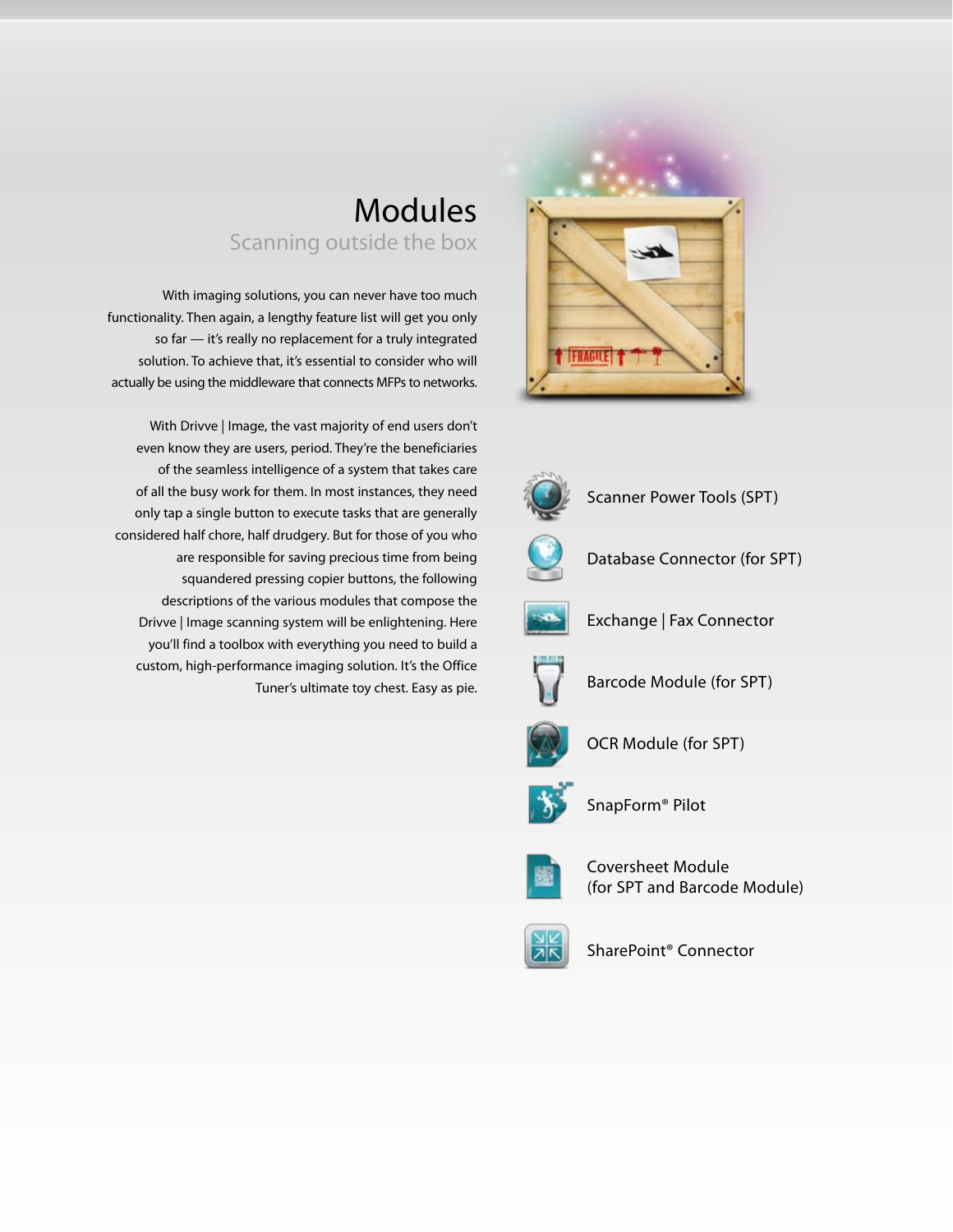



Scanner Power Tools (SPT)



Database Connector (for SPT)



Exchange | Fax Connector



Barcode Module (for SPT)



OCR Module (for SPT)



SnapForm® Pilot



Coversheet Module (for SPT and Barcode Module)



SharePoint® Connector



With imaging solutions, you can never have too much functionality. Then again, a lengthy feature list will get you only so far — it's really no replacement for a truly integrated solution. To achieve that, it's essential to consider who will actually be using the middleware that connects MFPs to networks.

With Drivve | Image, the vast majority of end users don't even know they are users, period. They're the beneficiaries of the seamless intelligence of a system that takes care of all the busy work for them. In most instances, they need only tap a single button to execute tasks that are generally considered half chore, half drudgery. But for those of you who are responsible for saving precious time from being squandered pressing copier buttons, the following descriptions of the various modules that compose the Drivve | Image scanning system will be enlightening. Here you'll find a toolbox with everything you need to build a custom, high-performance imaging solution. It's the Office Tuner's ultimate toy chest. Easy as pie.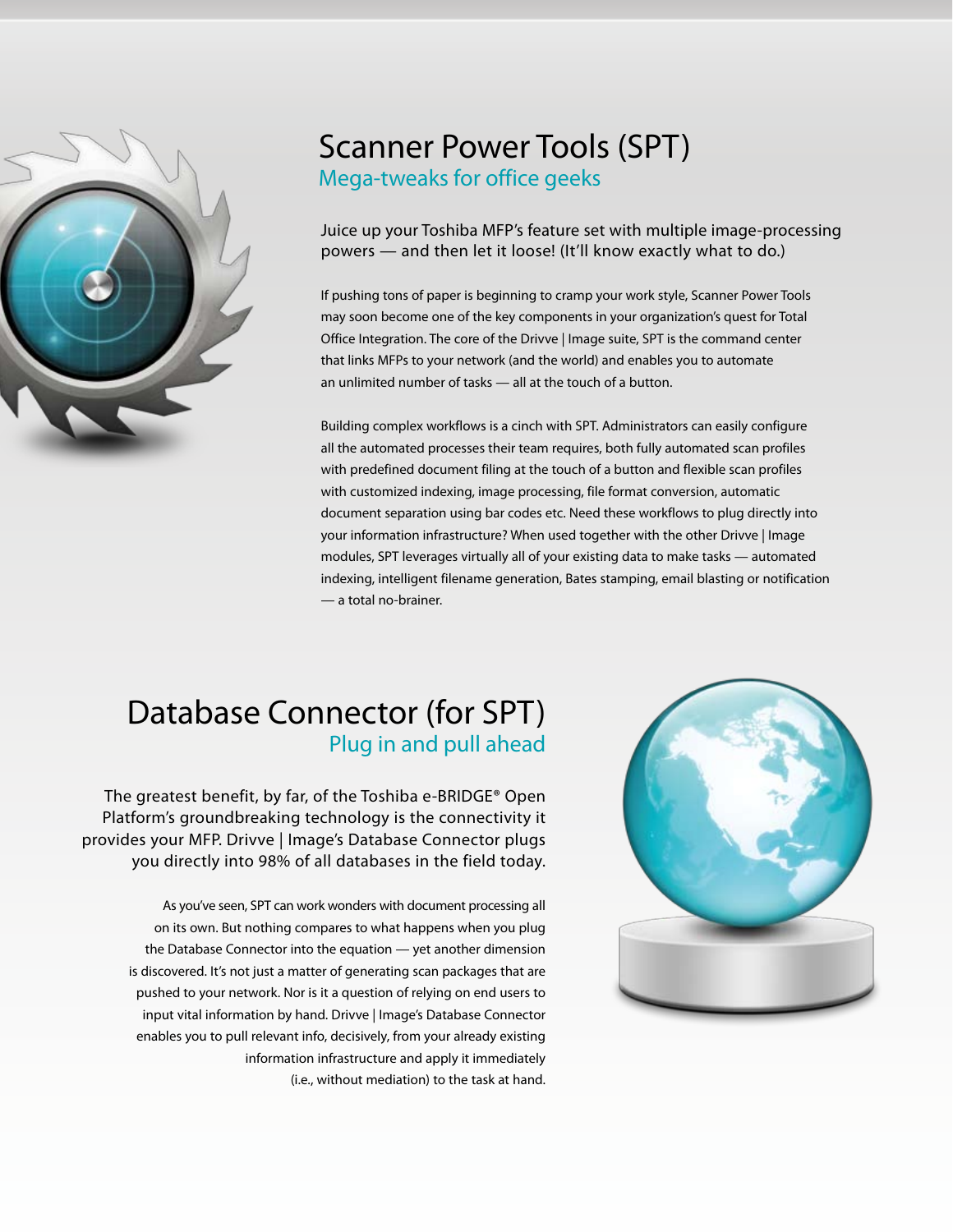

#### Scanner Power Tools (SPT) Mega-tweaks for office geeks

Juice up your Toshiba MFP's feature set with multiple image-processing powers — and then let it loose! (It'll know exactly what to do.)

If pushing tons of paper is beginning to cramp your work style, Scanner Power Tools may soon become one of the key components in your organization's quest for Total Office Integration. The core of the Drivve | Image suite, SPT is the command center that links MFPs to your network (and the world) and enables you to automate an unlimited number of tasks — all at the touch of a button.

Building complex workflows is a cinch with SPT. Administrators can easily configure all the automated processes their team requires, both fully automated scan profiles with predefined document filing at the touch of a button and flexible scan profiles with customized indexing, image processing, file format conversion, automatic document separation using bar codes etc. Need these workflows to plug directly into your information infrastructure? When used together with the other Drivve | Image modules, SPT leverages virtually all of your existing data to make tasks — automated indexing, intelligent filename generation, Bates stamping, email blasting or notification — a total no-brainer.

#### Database Connector (for SPT) Plug in and pull ahead

The greatest benefit, by far, of the Toshiba e-BRIDGE® Open Platform's groundbreaking technology is the connectivity it provides your MFP. Drivve | Image's Database Connector plugs you directly into 98% of all databases in the field today.

> As you've seen, SPT can work wonders with document processing all on its own. But nothing compares to what happens when you plug the Database Connector into the equation — yet another dimension is discovered. It's not just a matter of generating scan packages that are pushed to your network. Nor is it a question of relying on end users to input vital information by hand. Drivve | Image's Database Connector enables you to pull relevant info, decisively, from your already existing information infrastructure and apply it immediately (i.e., without mediation) to the task at hand.

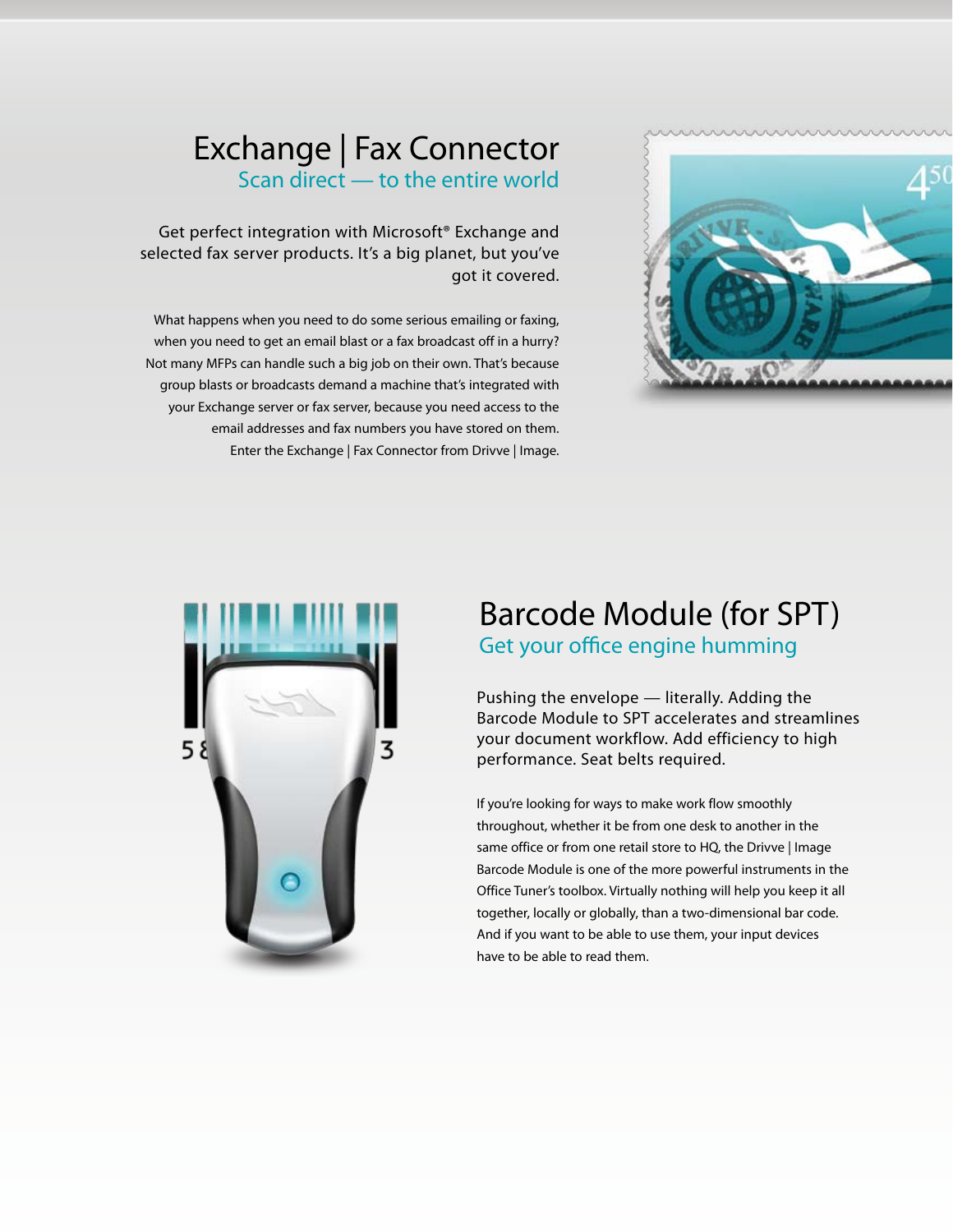

#### Exchange | Fax Connector Scan direct — to the entire world

Get perfect integration with Microsoft® Exchange and selected fax server products. It's a big planet, but you've got it covered.

What happens when you need to do some serious emailing or faxing, when you need to get an email blast or a fax broadcast off in a hurry? Not many MFPs can handle such a big job on their own. That's because group blasts or broadcasts demand a machine that's integrated with your Exchange server or fax server, because you need access to the email addresses and fax numbers you have stored on them. Enter the Exchange | Fax Connector from Drivve | Image.



#### Barcode Module (for SPT) Get your office engine humming

Pushing the envelope — literally. Adding the Barcode Module to SPT accelerates and streamlines your document workflow. Add efficiency to high performance. Seat belts required.

If you're looking for ways to make work flow smoothly throughout, whether it be from one desk to another in the same office or from one retail store to HQ, the Drivve | Image Barcode Module is one of the more powerful instruments in the Office Tuner's toolbox. Virtually nothing will help you keep it all together, locally or globally, than a two-dimensional bar code. And if you want to be able to use them, your input devices have to be able to read them.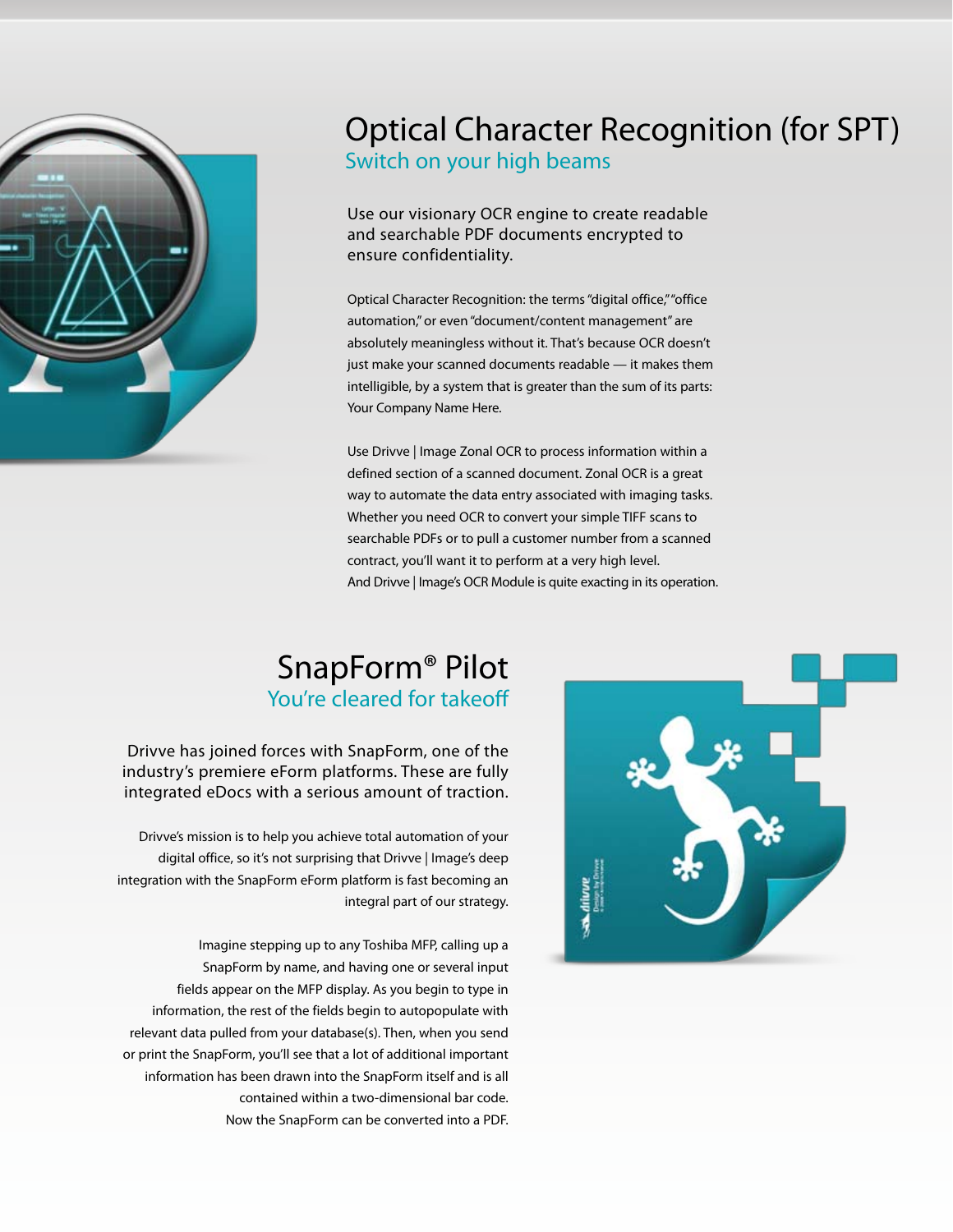

#### Optical Character Recognition (for SPT) Switch on your high beams

Use our visionary OCR engine to create readable and searchable PDF documents encrypted to ensure confidentiality.

Optical Character Recognition: the terms "digital office," "office automation," or even "document/content management" are absolutely meaningless without it. That's because OCR doesn't just make your scanned documents readable — it makes them intelligible, by a system that is greater than the sum of its parts: Your Company Name Here.

Use Drivve | Image Zonal OCR to process information within a defined section of a scanned document. Zonal OCR is a great way to automate the data entry associated with imaging tasks. Whether you need OCR to convert your simple TIFF scans to searchable PDFs or to pull a customer number from a scanned contract, you'll want it to perform at a very high level. And Drivve | Image's OCR Module is quite exacting in its operation.

#### SnapForm® Pilot You're cleared for takeoff

Drivve has joined forces with SnapForm, one of the industry's premiere eForm platforms. These are fully integrated eDocs with a serious amount of traction.

Drivve's mission is to help you achieve total automation of your digital office, so it's not surprising that Drivve | Image's deep integration with the SnapForm eForm platform is fast becoming an integral part of our strategy.

Imagine stepping up to any Toshiba MFP, calling up a SnapForm by name, and having one or several input fields appear on the MFP display. As you begin to type in information, the rest of the fields begin to autopopulate with relevant data pulled from your database(s). Then, when you send or print the SnapForm, you'll see that a lot of additional important information has been drawn into the SnapForm itself and is all contained within a two-dimensional bar code. Now the SnapForm can be converted into a PDF.

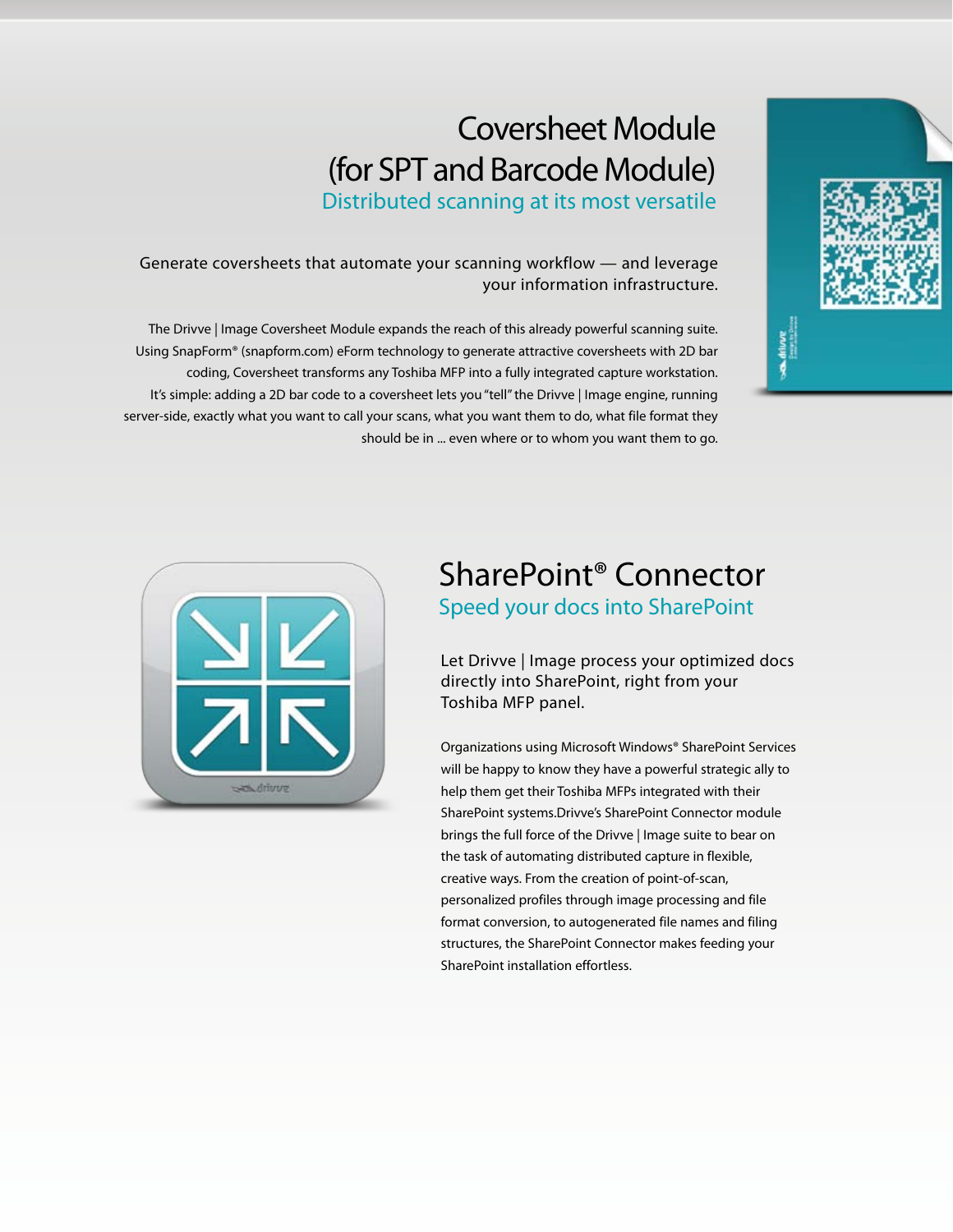## Coversheet Module (for SPT and Barcode Module)

Distributed scanning at its most versatile

Generate coversheets that automate your scanning workflow — and leverage your information infrastructure.

The Drivve | Image Coversheet Module expands the reach of this already powerful scanning suite. Using SnapForm® (snapform.com) eForm technology to generate attractive coversheets with 2D bar coding, Coversheet transforms any Toshiba MFP into a fully integrated capture workstation. It's simple: adding a 2D bar code to a coversheet lets you "tell" the Drivve | Image engine, running server-side, exactly what you want to call your scans, what you want them to do, what file format they should be in ... even where or to whom you want them to go.





#### SharePoint® Connector Speed your docs into SharePoint

Let Drivve | Image process your optimized docs directly into SharePoint, right from your Toshiba MFP panel.

Organizations using Microsoft Windows® SharePoint Services will be happy to know they have a powerful strategic ally to help them get their Toshiba MFPs integrated with their SharePoint systems.Drivve's SharePoint Connector module brings the full force of the Drivve | Image suite to bear on the task of automating distributed capture in flexible, creative ways. From the creation of point-of-scan, personalized profiles through image processing and file format conversion, to autogenerated file names and filing structures, the SharePoint Connector makes feeding your SharePoint installation effortless.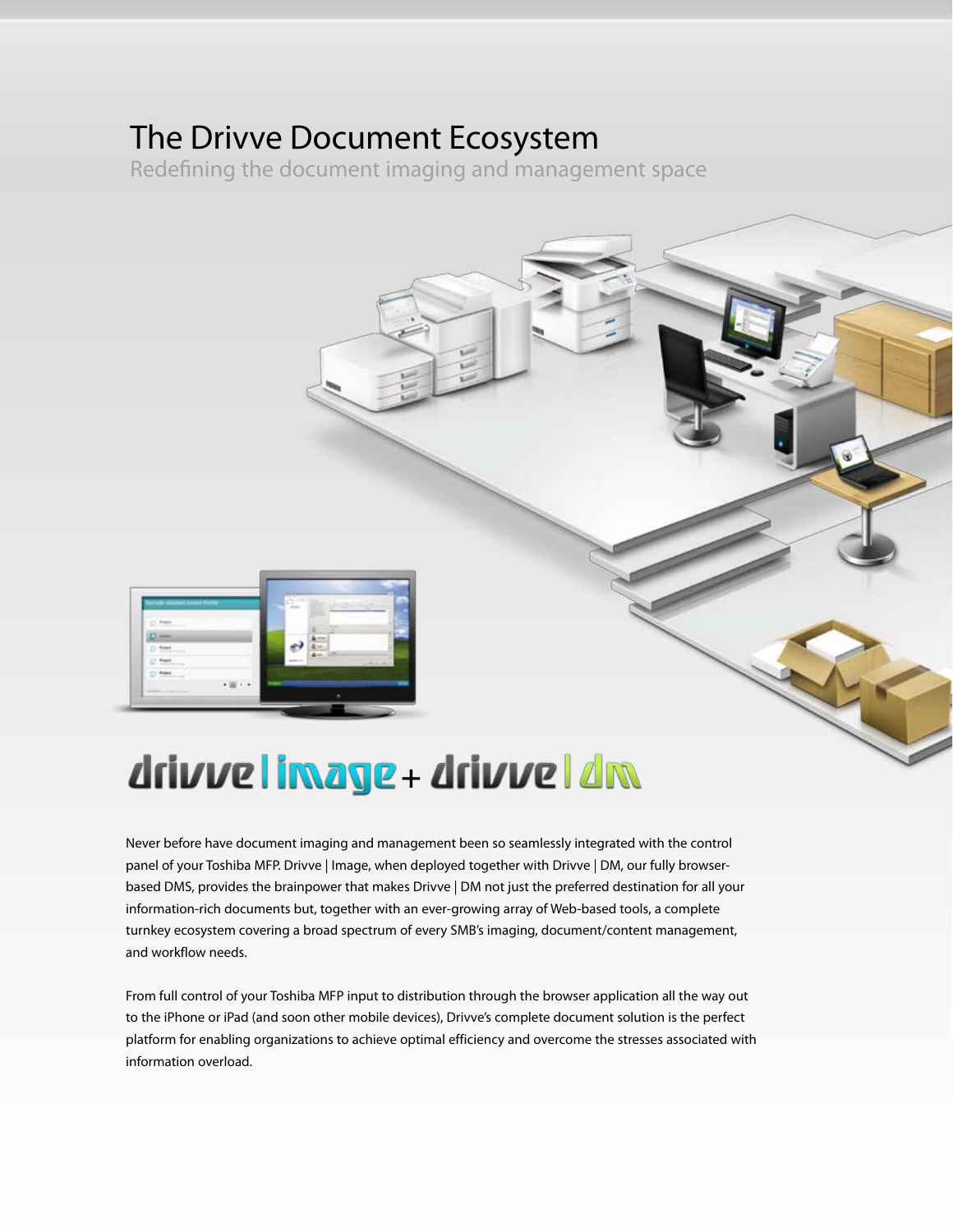### The Drivve Document Ecosystem

Redefining the document imaging and management space



# drivve limage + drivve | dm

Never before have document imaging and management been so seamlessly integrated with the control panel of your Toshiba MFP. Drivve | Image, when deployed together with Drivve | DM, our fully browserbased DMS, provides the brainpower that makes Drivve | DM not just the preferred destination for all your information-rich documents but, together with an ever-growing array of Web-based tools, a complete turnkey ecosystem covering a broad spectrum of every SMB's imaging, document/content management, and workflow needs.

From full control of your Toshiba MFP input to distribution through the browser application all the way out to the iPhone or iPad (and soon other mobile devices), Drivve's complete document solution is the perfect platform for enabling organizations to achieve optimal efficiency and overcome the stresses associated with information overload.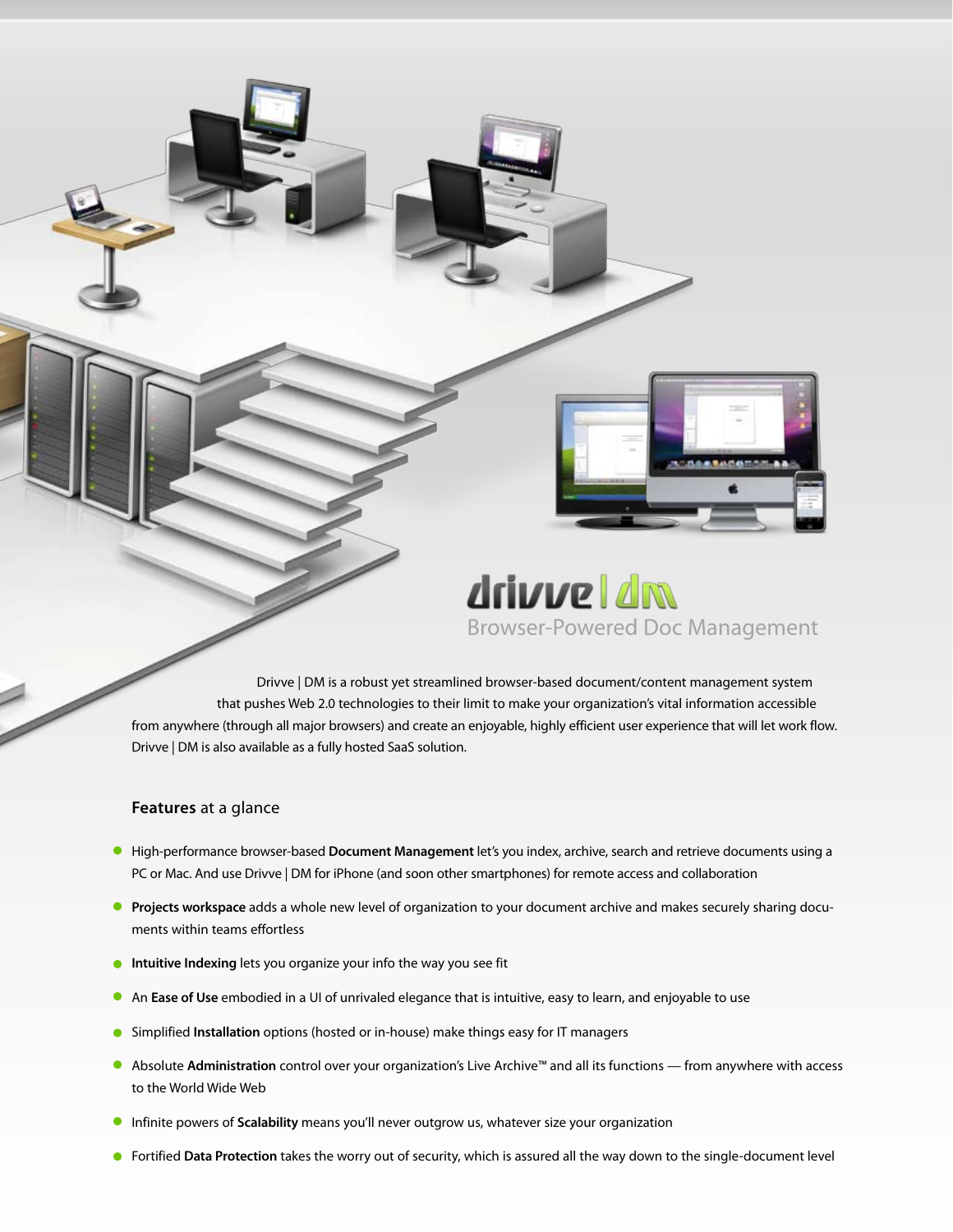

## drivve I dm Browser-Powered Doc Management

 Drivve | DM is a robust yet streamlined browser-based document/content management system that pushes Web 2.0 technologies to their limit to make your organization's vital information accessible from anywhere (through all major browsers) and create an enjoyable, highly efficient user experience that will let work flow. Drivve | DM is also available as a fully hosted SaaS solution.

#### **Features** at a glance

- High-performance browser-based **Document Management** let's you index, archive, search and retrieve documents using a PC or Mac. And use Drivve | DM for iPhone (and soon other smartphones) for remote access and collaboration
- **Projects workspace** adds a whole new level of organization to your document archive and makes securely sharing documents within teams effortless
- **Intuitive Indexing** lets you organize your info the way you see fit
- An **Ease of Use** embodied in a UI of unrivaled elegance that is intuitive, easy to learn, and enjoyable to use
- Simplified **Installation** options (hosted or in-house) make things easy for IT managers
- Absolute **Administration** control over your organization's Live Archive™ and all its functions from anywhere with access to the World Wide Web
- Infinite powers of **Scalability** means you'll never outgrow us, whatever size your organization
- Fortified **Data Protection** takes the worry out of security, which is assured all the way down to the single-document level